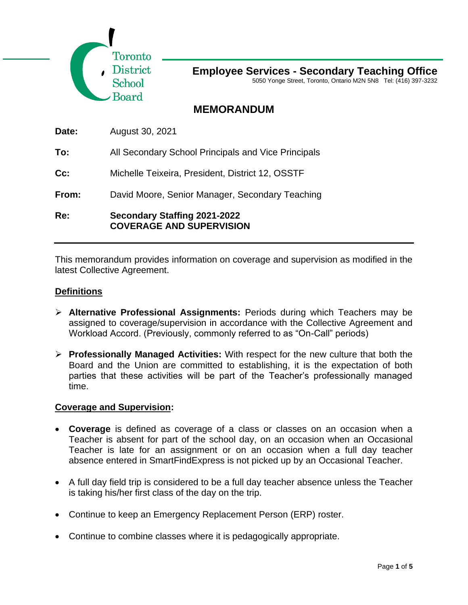

5050 Yonge Street, Toronto, Ontario M2N 5N8 Tel: (416) 397-3232

# **MEMORANDUM**

**To:** All Secondary School Principals and Vice Principals

**Cc:** Michelle Teixeira, President, District 12, OSSTF

**From:** David Moore, Senior Manager, Secondary Teaching

**Re: Secondary Staffing 2021-2022 COVERAGE AND SUPERVISION** 

This memorandum provides information on coverage and supervision as modified in the latest Collective Agreement.

### **Definitions**

- ➢ **Alternative Professional Assignments:** Periods during which Teachers may be assigned to coverage/supervision in accordance with the Collective Agreement and Workload Accord. (Previously, commonly referred to as "On-Call" periods)
- ➢ **Professionally Managed Activities:** With respect for the new culture that both the Board and the Union are committed to establishing, it is the expectation of both parties that these activities will be part of the Teacher's professionally managed time.

#### **Coverage and Supervision:**

- **Coverage** is defined as coverage of a class or classes on an occasion when a Teacher is absent for part of the school day, on an occasion when an Occasional Teacher is late for an assignment or on an occasion when a full day teacher absence entered in SmartFindExpress is not picked up by an Occasional Teacher.
- A full day field trip is considered to be a full day teacher absence unless the Teacher is taking his/her first class of the day on the trip.
- Continue to keep an Emergency Replacement Person (ERP) roster.
- Continue to combine classes where it is pedagogically appropriate.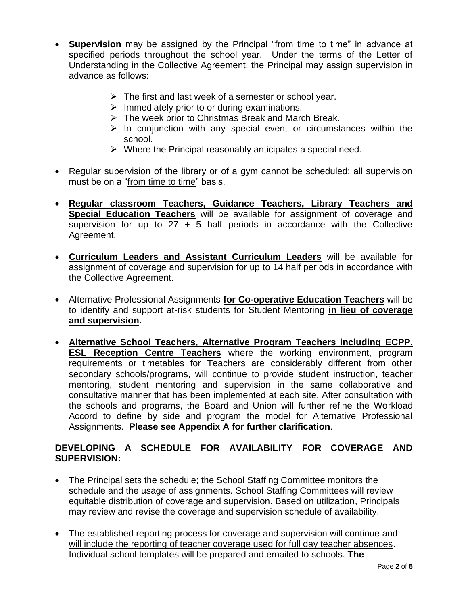- **Supervision** may be assigned by the Principal "from time to time" in advance at specified periods throughout the school year. Under the terms of the Letter of Understanding in the Collective Agreement, the Principal may assign supervision in advance as follows:
	- $\triangleright$  The first and last week of a semester or school year.
	- $\triangleright$  Immediately prior to or during examinations.
	- ➢ The week prior to Christmas Break and March Break.
	- $\triangleright$  In conjunction with any special event or circumstances within the school.
	- ➢ Where the Principal reasonably anticipates a special need.
- Regular supervision of the library or of a gym cannot be scheduled; all supervision must be on a "from time to time" basis.
- **Regular classroom Teachers, Guidance Teachers, Library Teachers and Special Education Teachers** will be available for assignment of coverage and supervision for up to  $27 + 5$  half periods in accordance with the Collective Agreement.
- **Curriculum Leaders and Assistant Curriculum Leaders** will be available for assignment of coverage and supervision for up to 14 half periods in accordance with the Collective Agreement.
- Alternative Professional Assignments **for Co-operative Education Teachers** will be to identify and support at-risk students for Student Mentoring **in lieu of coverage and supervision.**
- **Alternative School Teachers, Alternative Program Teachers including ECPP, ESL Reception Centre Teachers** where the working environment, program requirements or timetables for Teachers are considerably different from other secondary schools/programs, will continue to provide student instruction, teacher mentoring, student mentoring and supervision in the same collaborative and consultative manner that has been implemented at each site. After consultation with the schools and programs, the Board and Union will further refine the Workload Accord to define by side and program the model for Alternative Professional Assignments. **Please see Appendix A for further clarification**.

# **DEVELOPING A SCHEDULE FOR AVAILABILITY FOR COVERAGE AND SUPERVISION:**

- The Principal sets the schedule; the School Staffing Committee monitors the schedule and the usage of assignments. School Staffing Committees will review equitable distribution of coverage and supervision. Based on utilization, Principals may review and revise the coverage and supervision schedule of availability.
- The established reporting process for coverage and supervision will continue and will include the reporting of teacher coverage used for full day teacher absences. Individual school templates will be prepared and emailed to schools. **The**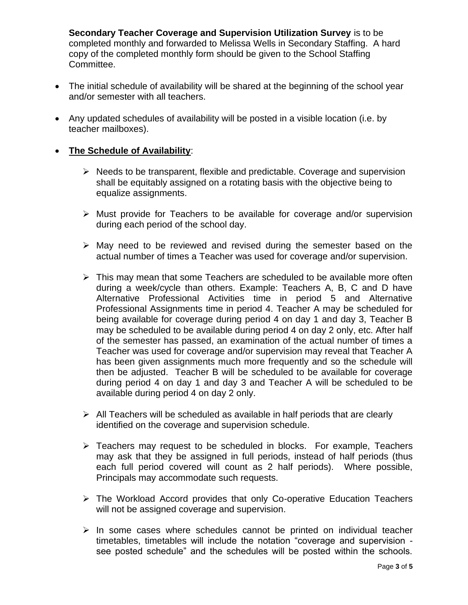**Secondary Teacher Coverage and Supervision Utilization Survey** is to be completed monthly and forwarded to Melissa Wells in Secondary Staffing. A hard copy of the completed monthly form should be given to the School Staffing Committee.

- The initial schedule of availability will be shared at the beginning of the school year and/or semester with all teachers.
- Any updated schedules of availability will be posted in a visible location (i.e. by teacher mailboxes).

## • **The Schedule of Availability**:

- ➢ Needs to be transparent, flexible and predictable. Coverage and supervision shall be equitably assigned on a rotating basis with the objective being to equalize assignments.
- ➢ Must provide for Teachers to be available for coverage and/or supervision during each period of the school day.
- ➢ May need to be reviewed and revised during the semester based on the actual number of times a Teacher was used for coverage and/or supervision.
- ➢ This may mean that some Teachers are scheduled to be available more often during a week/cycle than others. Example: Teachers A, B, C and D have Alternative Professional Activities time in period 5 and Alternative Professional Assignments time in period 4. Teacher A may be scheduled for being available for coverage during period 4 on day 1 and day 3, Teacher B may be scheduled to be available during period 4 on day 2 only, etc. After half of the semester has passed, an examination of the actual number of times a Teacher was used for coverage and/or supervision may reveal that Teacher A has been given assignments much more frequently and so the schedule will then be adjusted. Teacher B will be scheduled to be available for coverage during period 4 on day 1 and day 3 and Teacher A will be scheduled to be available during period 4 on day 2 only.
- $\triangleright$  All Teachers will be scheduled as available in half periods that are clearly identified on the coverage and supervision schedule.
- ➢ Teachers may request to be scheduled in blocks. For example, Teachers may ask that they be assigned in full periods, instead of half periods (thus each full period covered will count as 2 half periods). Where possible, Principals may accommodate such requests.
- ➢ The Workload Accord provides that only Co-operative Education Teachers will not be assigned coverage and supervision.
- $\triangleright$  In some cases where schedules cannot be printed on individual teacher timetables, timetables will include the notation "coverage and supervision see posted schedule" and the schedules will be posted within the schools.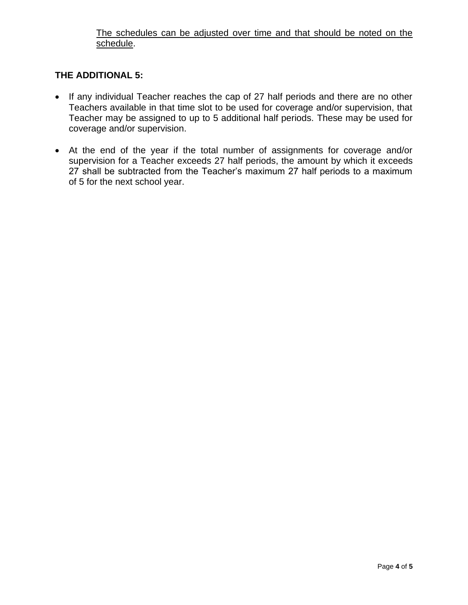## The schedules can be adjusted over time and that should be noted on the schedule.

# **THE ADDITIONAL 5:**

- If any individual Teacher reaches the cap of 27 half periods and there are no other Teachers available in that time slot to be used for coverage and/or supervision, that Teacher may be assigned to up to 5 additional half periods. These may be used for coverage and/or supervision.
- At the end of the year if the total number of assignments for coverage and/or supervision for a Teacher exceeds 27 half periods, the amount by which it exceeds 27 shall be subtracted from the Teacher's maximum 27 half periods to a maximum of 5 for the next school year.